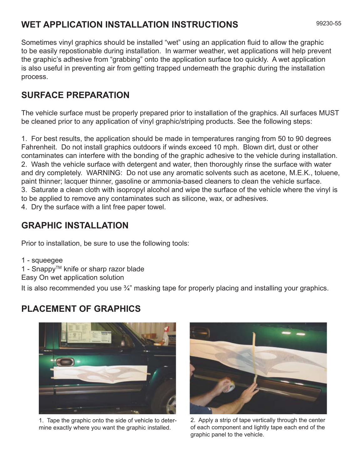# **WET APPLICATION INSTALLATION INSTRUCTIONS**

Sometimes vinyl graphics should be installed "wet" using an application fluid to allow the graphic to be easily repostionable during installation. In warmer weather, wet applications will help prevent the graphic's adhesive from "grabbing" onto the application surface too quickly. A wet application is also useful in preventing air from getting trapped underneath the graphic during the installation process.

### **SURFACE PREPARATION**

The vehicle surface must be properly prepared prior to installation of the graphics. All surfaces MUST be cleaned prior to any application of vinyl graphic/striping products. See the following steps:

1. For best results, the application should be made in temperatures ranging from 50 to 90 degrees Fahrenheit. Do not install graphics outdoors if winds exceed 10 mph. Blown dirt, dust or other contaminates can interfere with the bonding of the graphic adhesive to the vehicle during installation. 2. Wash the vehicle surface with detergent and water, then thoroughly rinse the surface with water and dry completely. WARNING: Do not use any aromatic solvents such as acetone, M.E.K., toluene, paint thinner; lacquer thinner, gasoline or ammonia-based cleaners to clean the vehicle surface. 3. Saturate a clean cloth with isopropyl alcohol and wipe the surface of the vehicle where the vinyl is to be applied to remove any contaminates such as silicone, wax, or adhesives. 4. Dry the surface with a lint free paper towel.

## **GRAPHIC INSTALLATION**

Prior to installation, be sure to use the following tools:

1 - squeegee 1 - Snappy™ knife or sharp razor blade Easy On wet application solution

It is also recommended you use <sup>3</sup>/<sub>4</sub>" masking tape for properly placing and installing your graphics.

#### **PLACEMENT OF GRAPHICS**



1. Tape the graphic onto the side of vehicle to determine exactly where you want the graphic installed.



2. Apply a strip of tape vertically through the center of each component and lightly tape each end of the graphic panel to the vehicle.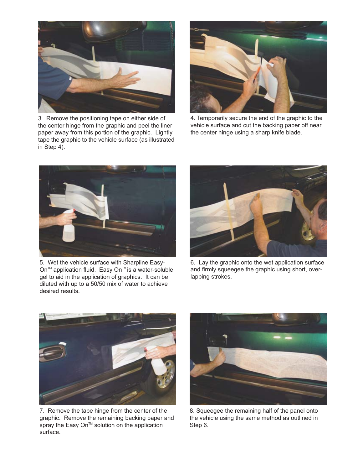

3. Remove the positioning tape on either side of the center hinge from the graphic and peel the liner paper away from this portion of the graphic. Lightly tape the graphic to the vehicle surface (as illustrated in Step 4).



4. Temporarily secure the end of the graphic to the vehicle surface and cut the backing paper off near the center hinge using a sharp knife blade.



5. Wet the vehicle surface with Sharpline Easy-On™ application fluid. Easy On™ is a water-soluble gel to aid in the application of graphics. It can be diluted with up to a 50/50 mix of water to achieve desired results.



6. Lay the graphic onto the wet application surface and firmly squeegee the graphic using short, overlapping strokes.



7. Remove the tape hinge from the center of the graphic. Remove the remaining backing paper and spray the Easy On™ solution on the application surface.



8. Squeegee the remaining half of the panel onto the vehicle using the same method as outlined in Step 6.